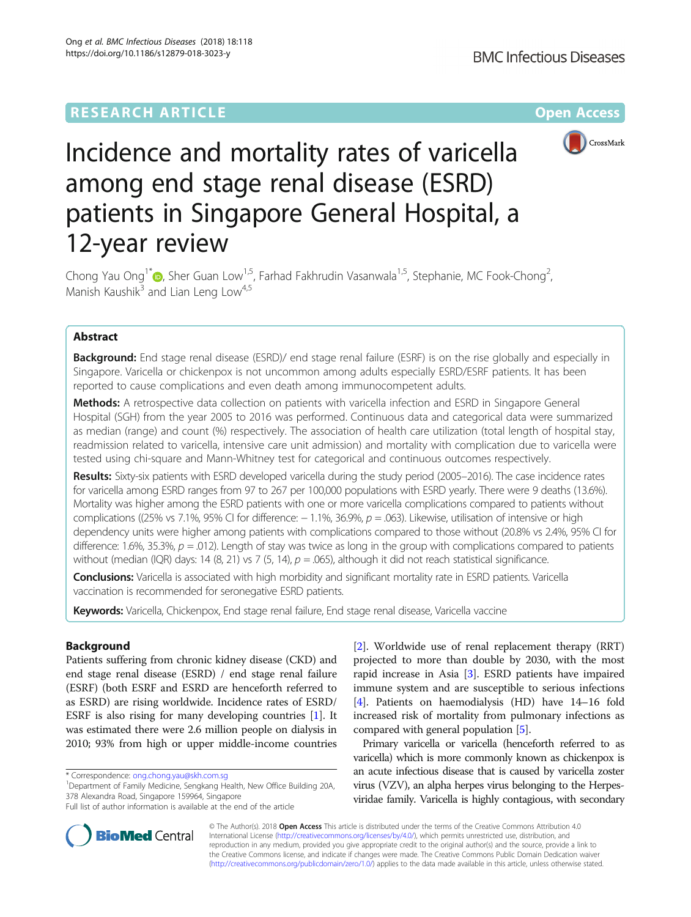

Incidence and mortality rates of varicella among end stage renal disease (ESRD) patients in Singapore General Hospital, a 12-year review

Chong Yau Ong<sup>1[\\*](http://orcid.org/0000-0002-6230-7134)</sup> (b), Sher Guan Low<sup>1,5</sup>, Farhad Fakhrudin Vasanwala<sup>1,5</sup>, Stephanie, MC Fook-Chong<sup>2</sup>, .<br>, Manish Kaushik $3$  and Lian Leng Low<sup>4,5</sup>

# Abstract

Background: End stage renal disease (ESRD)/ end stage renal failure (ESRF) is on the rise globally and especially in Singapore. Varicella or chickenpox is not uncommon among adults especially ESRD/ESRF patients. It has been reported to cause complications and even death among immunocompetent adults.

Methods: A retrospective data collection on patients with varicella infection and ESRD in Singapore General Hospital (SGH) from the year 2005 to 2016 was performed. Continuous data and categorical data were summarized as median (range) and count (%) respectively. The association of health care utilization (total length of hospital stay, readmission related to varicella, intensive care unit admission) and mortality with complication due to varicella were tested using chi-square and Mann-Whitney test for categorical and continuous outcomes respectively.

Results: Sixty-six patients with ESRD developed varicella during the study period (2005–2016). The case incidence rates for varicella among ESRD ranges from 97 to 267 per 100,000 populations with ESRD yearly. There were 9 deaths (13.6%). Mortality was higher among the ESRD patients with one or more varicella complications compared to patients without complications ((25% vs 7.1%, 95% CI for difference:  $- 1.1$ %, 36.9%,  $p = .063$ ). Likewise, utilisation of intensive or high dependency units were higher among patients with complications compared to those without (20.8% vs 2.4%, 95% CI for difference: 1.6%, 35.3%,  $p = .012$ ). Length of stay was twice as long in the group with complications compared to patients without (median (IQR) days: 14 (8, 21) vs 7 (5, 14),  $p = .065$ ), although it did not reach statistical significance.

Conclusions: Varicella is associated with high morbidity and significant mortality rate in ESRD patients. Varicella vaccination is recommended for seronegative ESRD patients.

Keywords: Varicella, Chickenpox, End stage renal failure, End stage renal disease, Varicella vaccine

## Background

Patients suffering from chronic kidney disease (CKD) and end stage renal disease (ESRD) / end stage renal failure (ESRF) (both ESRF and ESRD are henceforth referred to as ESRD) are rising worldwide. Incidence rates of ESRD/ ESRF is also rising for many developing countries [\[1](#page-5-0)]. It was estimated there were 2.6 million people on dialysis in 2010; 93% from high or upper middle-income countries

<sup>1</sup>Department of Family Medicine, Sengkang Health, New Office Building 20A, 378 Alexandra Road, Singapore 159964, Singapore

[[2\]](#page-5-0). Worldwide use of renal replacement therapy (RRT) projected to more than double by 2030, with the most rapid increase in Asia [\[3\]](#page-5-0). ESRD patients have impaired immune system and are susceptible to serious infections [[4\]](#page-5-0). Patients on haemodialysis (HD) have 14–16 fold increased risk of mortality from pulmonary infections as compared with general population [[5\]](#page-5-0).

Primary varicella or varicella (henceforth referred to as varicella) which is more commonly known as chickenpox is an acute infectious disease that is caused by varicella zoster virus (VZV), an alpha herpes virus belonging to the Herpesviridae family. Varicella is highly contagious, with secondary



© The Author(s). 2018 Open Access This article is distributed under the terms of the Creative Commons Attribution 4.0 International License [\(http://creativecommons.org/licenses/by/4.0/](http://creativecommons.org/licenses/by/4.0/)), which permits unrestricted use, distribution, and reproduction in any medium, provided you give appropriate credit to the original author(s) and the source, provide a link to the Creative Commons license, and indicate if changes were made. The Creative Commons Public Domain Dedication waiver [\(http://creativecommons.org/publicdomain/zero/1.0/](http://creativecommons.org/publicdomain/zero/1.0/)) applies to the data made available in this article, unless otherwise stated.

<sup>\*</sup> Correspondence: [ong.chong.yau@skh.com.sg](mailto:ong.chong.yau@skh.com.sg) <sup>1</sup>

Full list of author information is available at the end of the article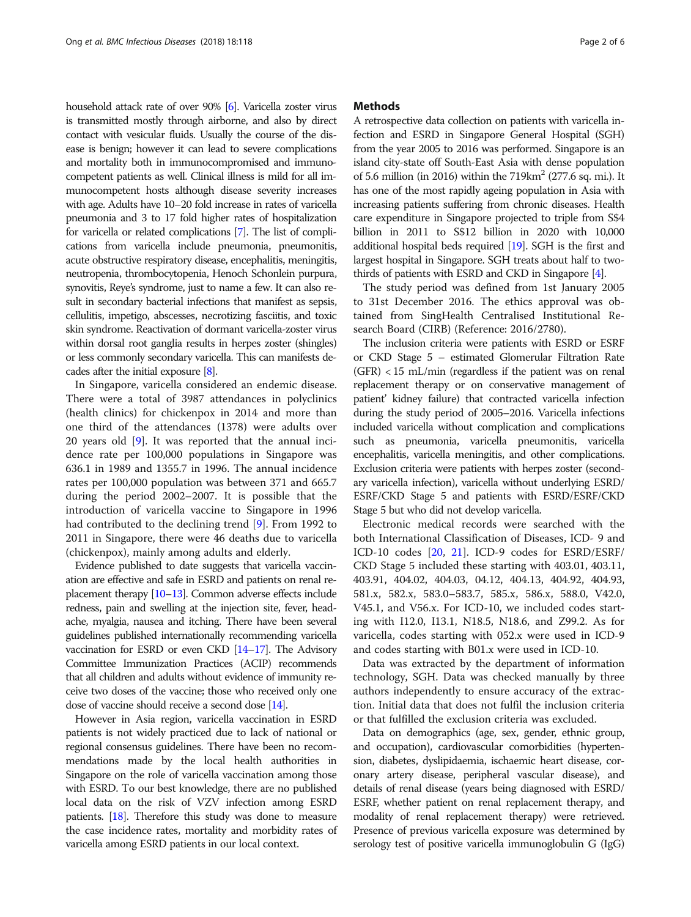household attack rate of over 90% [\[6](#page-5-0)]. Varicella zoster virus is transmitted mostly through airborne, and also by direct contact with vesicular fluids. Usually the course of the disease is benign; however it can lead to severe complications and mortality both in immunocompromised and immunocompetent patients as well. Clinical illness is mild for all immunocompetent hosts although disease severity increases with age. Adults have 10–20 fold increase in rates of varicella pneumonia and 3 to 17 fold higher rates of hospitalization for varicella or related complications [\[7](#page-5-0)]. The list of complications from varicella include pneumonia, pneumonitis, acute obstructive respiratory disease, encephalitis, meningitis, neutropenia, thrombocytopenia, Henoch Schonlein purpura, synovitis, Reye's syndrome, just to name a few. It can also result in secondary bacterial infections that manifest as sepsis, cellulitis, impetigo, abscesses, necrotizing fasciitis, and toxic skin syndrome. Reactivation of dormant varicella-zoster virus within dorsal root ganglia results in herpes zoster (shingles) or less commonly secondary varicella. This can manifests decades after the initial exposure [\[8\]](#page-5-0).

In Singapore, varicella considered an endemic disease. There were a total of 3987 attendances in polyclinics (health clinics) for chickenpox in 2014 and more than one third of the attendances (1378) were adults over 20 years old [[9\]](#page-5-0). It was reported that the annual incidence rate per 100,000 populations in Singapore was 636.1 in 1989 and 1355.7 in 1996. The annual incidence rates per 100,000 population was between 371 and 665.7 during the period 2002–2007. It is possible that the introduction of varicella vaccine to Singapore in 1996 had contributed to the declining trend [\[9](#page-5-0)]. From 1992 to 2011 in Singapore, there were 46 deaths due to varicella (chickenpox), mainly among adults and elderly.

Evidence published to date suggests that varicella vaccination are effective and safe in ESRD and patients on renal replacement therapy [\[10](#page-5-0)–[13](#page-5-0)]. Common adverse effects include redness, pain and swelling at the injection site, fever, headache, myalgia, nausea and itching. There have been several guidelines published internationally recommending varicella vaccination for ESRD or even CKD [[14](#page-5-0)–[17\]](#page-5-0). The Advisory Committee Immunization Practices (ACIP) recommends that all children and adults without evidence of immunity receive two doses of the vaccine; those who received only one dose of vaccine should receive a second dose [\[14](#page-5-0)].

However in Asia region, varicella vaccination in ESRD patients is not widely practiced due to lack of national or regional consensus guidelines. There have been no recommendations made by the local health authorities in Singapore on the role of varicella vaccination among those with ESRD. To our best knowledge, there are no published local data on the risk of VZV infection among ESRD patients. [[18](#page-5-0)]. Therefore this study was done to measure the case incidence rates, mortality and morbidity rates of varicella among ESRD patients in our local context.

## **Methods**

A retrospective data collection on patients with varicella infection and ESRD in Singapore General Hospital (SGH) from the year 2005 to 2016 was performed. Singapore is an island city-state off South-East Asia with dense population of 5.6 million (in 2016) within the  $719 \text{km}^2$  (277.6 sq. mi.). It has one of the most rapidly ageing population in Asia with increasing patients suffering from chronic diseases. Health care expenditure in Singapore projected to triple from S\$4 billion in 2011 to S\$12 billion in 2020 with 10,000 additional hospital beds required [[19](#page-5-0)]. SGH is the first and largest hospital in Singapore. SGH treats about half to twothirds of patients with ESRD and CKD in Singapore [\[4\]](#page-5-0).

The study period was defined from 1st January 2005 to 31st December 2016. The ethics approval was obtained from SingHealth Centralised Institutional Research Board (CIRB) (Reference: 2016/2780).

The inclusion criteria were patients with ESRD or ESRF or CKD Stage 5 – estimated Glomerular Filtration Rate  $(GFR)$  < 15 mL/min (regardless if the patient was on renal replacement therapy or on conservative management of patient' kidney failure) that contracted varicella infection during the study period of 2005–2016. Varicella infections included varicella without complication and complications such as pneumonia, varicella pneumonitis, varicella encephalitis, varicella meningitis, and other complications. Exclusion criteria were patients with herpes zoster (secondary varicella infection), varicella without underlying ESRD/ ESRF/CKD Stage 5 and patients with ESRD/ESRF/CKD Stage 5 but who did not develop varicella.

Electronic medical records were searched with the both International Classification of Diseases, ICD- 9 and ICD-10 codes [[20,](#page-5-0) [21](#page-5-0)]. ICD-9 codes for ESRD/ESRF/ CKD Stage 5 included these starting with 403.01, 403.11, 403.91, 404.02, 404.03, 04.12, 404.13, 404.92, 404.93, 581.x, 582.x, 583.0–583.7, 585.x, 586.x, 588.0, V42.0, V45.1, and V56.x. For ICD-10, we included codes starting with I12.0, I13.1, N18.5, N18.6, and Z99.2. As for varicella, codes starting with 052.x were used in ICD-9 and codes starting with B01.x were used in ICD-10.

Data was extracted by the department of information technology, SGH. Data was checked manually by three authors independently to ensure accuracy of the extraction. Initial data that does not fulfil the inclusion criteria or that fulfilled the exclusion criteria was excluded.

Data on demographics (age, sex, gender, ethnic group, and occupation), cardiovascular comorbidities (hypertension, diabetes, dyslipidaemia, ischaemic heart disease, coronary artery disease, peripheral vascular disease), and details of renal disease (years being diagnosed with ESRD/ ESRF, whether patient on renal replacement therapy, and modality of renal replacement therapy) were retrieved. Presence of previous varicella exposure was determined by serology test of positive varicella immunoglobulin G (IgG)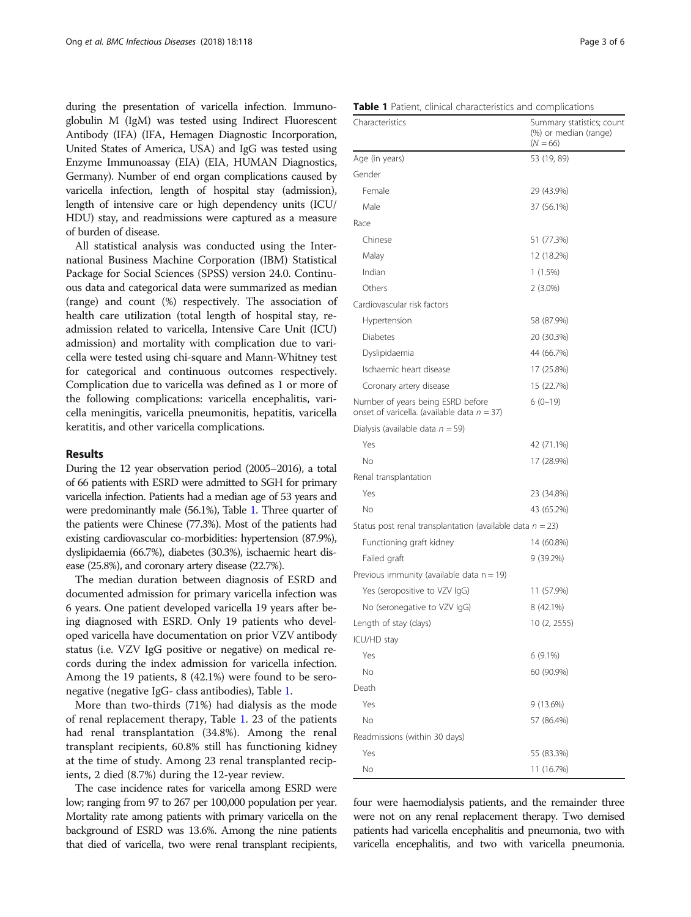during the presentation of varicella infection. Immunoglobulin M (IgM) was tested using Indirect Fluorescent Antibody (IFA) (IFA, Hemagen Diagnostic Incorporation, United States of America, USA) and IgG was tested using Enzyme Immunoassay (EIA) (EIA, HUMAN Diagnostics, Germany). Number of end organ complications caused by varicella infection, length of hospital stay (admission), length of intensive care or high dependency units (ICU/ HDU) stay, and readmissions were captured as a measure of burden of disease.

All statistical analysis was conducted using the International Business Machine Corporation (IBM) Statistical Package for Social Sciences (SPSS) version 24.0. Continuous data and categorical data were summarized as median (range) and count (%) respectively. The association of health care utilization (total length of hospital stay, readmission related to varicella, Intensive Care Unit (ICU) admission) and mortality with complication due to varicella were tested using chi-square and Mann-Whitney test for categorical and continuous outcomes respectively. Complication due to varicella was defined as 1 or more of the following complications: varicella encephalitis, varicella meningitis, varicella pneumonitis, hepatitis, varicella keratitis, and other varicella complications.

## Results

During the 12 year observation period (2005–2016), a total of 66 patients with ESRD were admitted to SGH for primary varicella infection. Patients had a median age of 53 years and were predominantly male (56.1%), Table 1. Three quarter of the patients were Chinese (77.3%). Most of the patients had existing cardiovascular co-morbidities: hypertension (87.9%), dyslipidaemia (66.7%), diabetes (30.3%), ischaemic heart disease (25.8%), and coronary artery disease (22.7%).

The median duration between diagnosis of ESRD and documented admission for primary varicella infection was 6 years. One patient developed varicella 19 years after being diagnosed with ESRD. Only 19 patients who developed varicella have documentation on prior VZV antibody status (i.e. VZV IgG positive or negative) on medical records during the index admission for varicella infection. Among the 19 patients, 8 (42.1%) were found to be seronegative (negative IgG- class antibodies), Table 1.

More than two-thirds (71%) had dialysis as the mode of renal replacement therapy, Table 1. 23 of the patients had renal transplantation (34.8%). Among the renal transplant recipients, 60.8% still has functioning kidney at the time of study. Among 23 renal transplanted recipients, 2 died (8.7%) during the 12-year review.

The case incidence rates for varicella among ESRD were low; ranging from 97 to 267 per 100,000 population per year. Mortality rate among patients with primary varicella on the background of ESRD was 13.6%. Among the nine patients that died of varicella, two were renal transplant recipients,

| Characteristics                                                                     | Summary statistics; count<br>(%) or median (range)<br>$(N = 66)$ |
|-------------------------------------------------------------------------------------|------------------------------------------------------------------|
| Age (in years)                                                                      | 53 (19, 89)                                                      |
| Gender                                                                              |                                                                  |
| Female                                                                              | 29 (43.9%)                                                       |
| Male                                                                                | 37 (56.1%)                                                       |
| Race                                                                                |                                                                  |
| Chinese                                                                             | 51 (77.3%)                                                       |
| Malay                                                                               | 12 (18.2%)                                                       |
| Indian                                                                              | $1(1.5\%)$                                                       |
| Others                                                                              | $2(3.0\%)$                                                       |
| Cardiovascular risk factors                                                         |                                                                  |
| Hypertension                                                                        | 58 (87.9%)                                                       |
| Diabetes                                                                            | 20 (30.3%)                                                       |
| Dyslipidaemia                                                                       | 44 (66.7%)                                                       |
| Ischaemic heart disease                                                             | 17 (25.8%)                                                       |
| Coronary artery disease                                                             | 15 (22.7%)                                                       |
| Number of years being ESRD before<br>onset of varicella. (available data $n = 37$ ) | $6(0-19)$                                                        |
| Dialysis (available data $n = 59$ )                                                 |                                                                  |
| Yes                                                                                 | 42 (71.1%)                                                       |
| No                                                                                  | 17 (28.9%)                                                       |
| Renal transplantation                                                               |                                                                  |
| Yes                                                                                 | 23 (34.8%)                                                       |
| No                                                                                  | 43 (65.2%)                                                       |
| Status post renal transplantation (available data $n = 23$ )                        |                                                                  |
| Functioning graft kidney                                                            | 14 (60.8%)                                                       |
| Failed graft                                                                        | 9 (39.2%)                                                        |
| Previous immunity (available data $n = 19$ )                                        |                                                                  |
| Yes (seropositive to VZV IgG)                                                       | 11 (57.9%)                                                       |
| No (seronegative to VZV IgG)                                                        | 8 (42.1%)                                                        |
| Length of stay (days)                                                               | 10 (2, 2555)                                                     |
| ICU/HD stay                                                                         |                                                                  |
| Yes                                                                                 | 6 (9.1%)                                                         |
| No                                                                                  | 60 (90.9%)                                                       |
| Death                                                                               |                                                                  |
| Yes                                                                                 | 9(13.6%)                                                         |
| No                                                                                  | 57 (86.4%)                                                       |
| Readmissions (within 30 days)                                                       |                                                                  |
| Yes                                                                                 | 55 (83.3%)                                                       |
| No                                                                                  | 11 (16.7%)                                                       |

four were haemodialysis patients, and the remainder three were not on any renal replacement therapy. Two demised patients had varicella encephalitis and pneumonia, two with varicella encephalitis, and two with varicella pneumonia.

|  |  |  |  | Table 1 Patient, clinical characteristics and complications |  |  |  |  |
|--|--|--|--|-------------------------------------------------------------|--|--|--|--|
|--|--|--|--|-------------------------------------------------------------|--|--|--|--|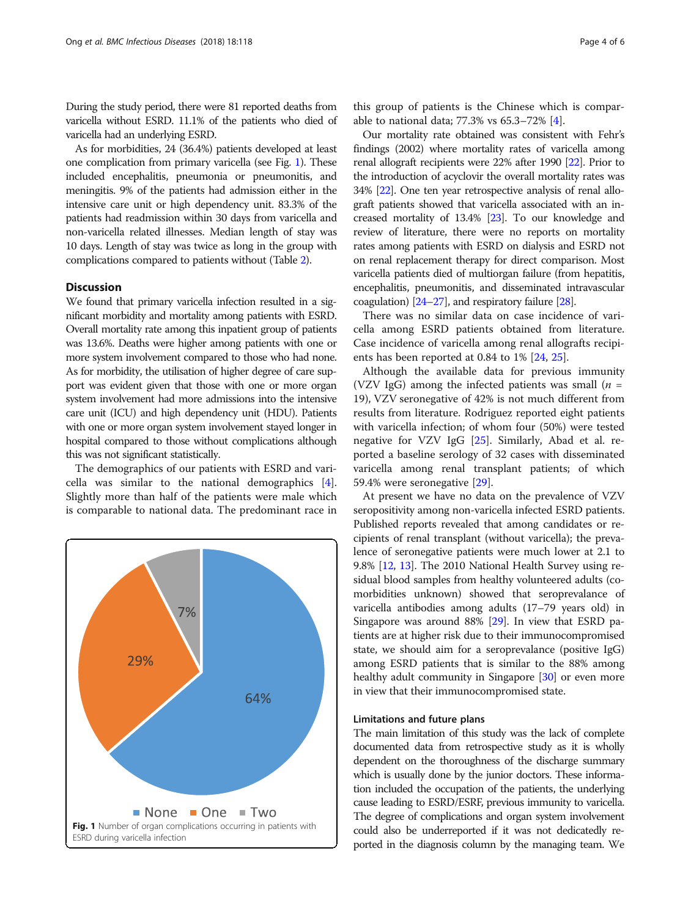During the study period, there were 81 reported deaths from varicella without ESRD. 11.1% of the patients who died of varicella had an underlying ESRD.

As for morbidities, 24 (36.4%) patients developed at least one complication from primary varicella (see Fig. 1). These included encephalitis, pneumonia or pneumonitis, and meningitis. 9% of the patients had admission either in the intensive care unit or high dependency unit. 83.3% of the patients had readmission within 30 days from varicella and non-varicella related illnesses. Median length of stay was 10 days. Length of stay was twice as long in the group with complications compared to patients without (Table [2\)](#page-4-0).

## **Discussion**

We found that primary varicella infection resulted in a significant morbidity and mortality among patients with ESRD. Overall mortality rate among this inpatient group of patients was 13.6%. Deaths were higher among patients with one or more system involvement compared to those who had none. As for morbidity, the utilisation of higher degree of care support was evident given that those with one or more organ system involvement had more admissions into the intensive care unit (ICU) and high dependency unit (HDU). Patients with one or more organ system involvement stayed longer in hospital compared to those without complications although this was not significant statistically.

The demographics of our patients with ESRD and varicella was similar to the national demographics [\[4](#page-5-0)]. Slightly more than half of the patients were male which is comparable to national data. The predominant race in



this group of patients is the Chinese which is comparable to national data; 77.3% vs 65.3–72% [\[4\]](#page-5-0).

Our mortality rate obtained was consistent with Fehr's findings (2002) where mortality rates of varicella among renal allograft recipients were 22% after 1990 [\[22\]](#page-5-0). Prior to the introduction of acyclovir the overall mortality rates was 34% [\[22\]](#page-5-0). One ten year retrospective analysis of renal allograft patients showed that varicella associated with an increased mortality of 13.4% [[23](#page-5-0)]. To our knowledge and review of literature, there were no reports on mortality rates among patients with ESRD on dialysis and ESRD not on renal replacement therapy for direct comparison. Most varicella patients died of multiorgan failure (from hepatitis, encephalitis, pneumonitis, and disseminated intravascular coagulation) [\[24](#page-5-0)–[27](#page-5-0)], and respiratory failure [\[28\]](#page-5-0).

There was no similar data on case incidence of varicella among ESRD patients obtained from literature. Case incidence of varicella among renal allografts recipients has been reported at 0.84 to 1% [[24](#page-5-0), [25](#page-5-0)].

Although the available data for previous immunity (VZV IgG) among the infected patients was small  $(n =$ 19), VZV seronegative of 42% is not much different from results from literature. Rodriguez reported eight patients with varicella infection; of whom four (50%) were tested negative for VZV IgG [\[25\]](#page-5-0). Similarly, Abad et al. reported a baseline serology of 32 cases with disseminated varicella among renal transplant patients; of which 59.4% were seronegative [\[29](#page-5-0)].

At present we have no data on the prevalence of VZV seropositivity among non-varicella infected ESRD patients. Published reports revealed that among candidates or recipients of renal transplant (without varicella); the prevalence of seronegative patients were much lower at 2.1 to 9.8% [[12](#page-5-0), [13](#page-5-0)]. The 2010 National Health Survey using residual blood samples from healthy volunteered adults (comorbidities unknown) showed that seroprevalance of varicella antibodies among adults (17–79 years old) in Singapore was around 88% [\[29\]](#page-5-0). In view that ESRD patients are at higher risk due to their immunocompromised state, we should aim for a seroprevalance (positive IgG) among ESRD patients that is similar to the 88% among healthy adult community in Singapore [\[30](#page-5-0)] or even more in view that their immunocompromised state.

## Limitations and future plans

The main limitation of this study was the lack of complete documented data from retrospective study as it is wholly dependent on the thoroughness of the discharge summary which is usually done by the junior doctors. These information included the occupation of the patients, the underlying cause leading to ESRD/ESRF, previous immunity to varicella. The degree of complications and organ system involvement could also be underreported if it was not dedicatedly reported in the diagnosis column by the managing team. We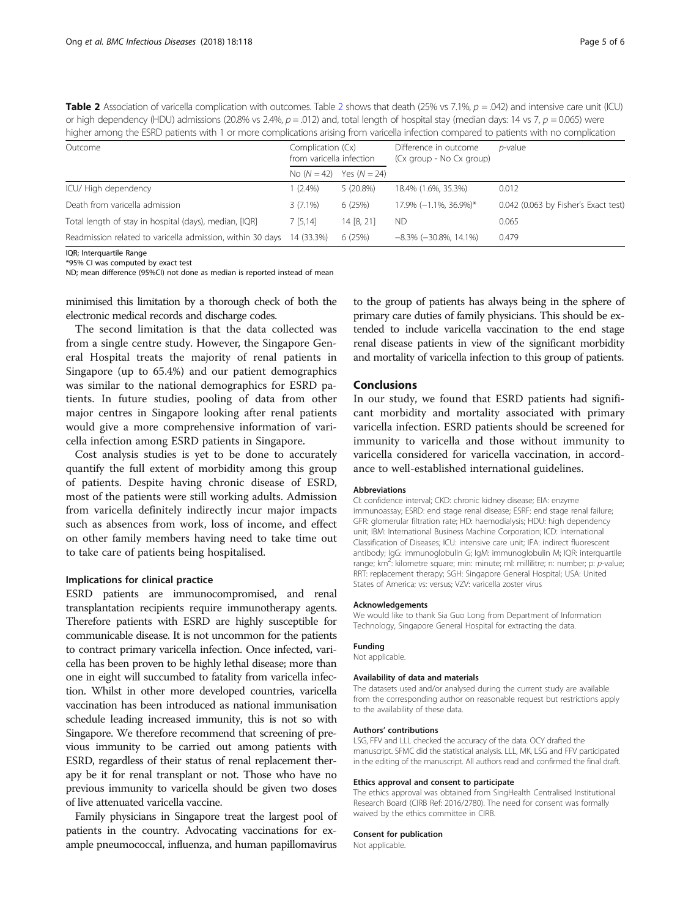<span id="page-4-0"></span>**Table 2** Association of varicella complication with outcomes. Table 2 shows that death (25% vs 7.1%,  $p = .042$ ) and intensive care unit (ICU) or high dependency (HDU) admissions (20.8% vs 2.4%,  $p = .012$ ) and, total length of hospital stay (median days: 14 vs 7,  $p = 0.065$ ) were higher among the ESRD patients with 1 or more complications arising from varicella infection compared to patients with no complication

| Outcome                                                    | Complication (Cx)<br>from varicella infection |                | Difference in outcome<br>(Cx group - No Cx group) | $p$ -value                           |  |
|------------------------------------------------------------|-----------------------------------------------|----------------|---------------------------------------------------|--------------------------------------|--|
|                                                            | No $(N = 42)$                                 | Yes $(N = 24)$ |                                                   |                                      |  |
| ICU/ High dependency                                       | $1(2.4\%)$                                    | 5 (20.8%)      | 18.4% (1.6%, 35.3%)                               | 0.012                                |  |
| Death from varicella admission                             | $3(7.1\%)$                                    | 6(25%)         | 17.9% (-1.1%, 36.9%)*                             | 0.042 (0.063 by Fisher's Exact test) |  |
| Total length of stay in hospital (days), median, [IQR]     | 7[5,14]                                       | 14[8, 21]      | ΝD                                                | 0.065                                |  |
| Readmission related to varicella admission, within 30 days | 14 (33.3%)                                    | 6(25%)         | $-8.3\%$ ( $-30.8\%$ , 14.1%)                     | 0.479                                |  |

IQR; Interquartile Range

\*95% CI was computed by exact test

ND; mean difference (95%CI) not done as median is reported instead of mean

minimised this limitation by a thorough check of both the electronic medical records and discharge codes.

The second limitation is that the data collected was from a single centre study. However, the Singapore General Hospital treats the majority of renal patients in Singapore (up to 65.4%) and our patient demographics was similar to the national demographics for ESRD patients. In future studies, pooling of data from other major centres in Singapore looking after renal patients would give a more comprehensive information of varicella infection among ESRD patients in Singapore.

Cost analysis studies is yet to be done to accurately quantify the full extent of morbidity among this group of patients. Despite having chronic disease of ESRD, most of the patients were still working adults. Admission from varicella definitely indirectly incur major impacts such as absences from work, loss of income, and effect on other family members having need to take time out to take care of patients being hospitalised.

#### Implications for clinical practice

ESRD patients are immunocompromised, and renal transplantation recipients require immunotherapy agents. Therefore patients with ESRD are highly susceptible for communicable disease. It is not uncommon for the patients to contract primary varicella infection. Once infected, varicella has been proven to be highly lethal disease; more than one in eight will succumbed to fatality from varicella infection. Whilst in other more developed countries, varicella vaccination has been introduced as national immunisation schedule leading increased immunity, this is not so with Singapore. We therefore recommend that screening of previous immunity to be carried out among patients with ESRD, regardless of their status of renal replacement therapy be it for renal transplant or not. Those who have no previous immunity to varicella should be given two doses of live attenuated varicella vaccine.

Family physicians in Singapore treat the largest pool of patients in the country. Advocating vaccinations for example pneumococcal, influenza, and human papillomavirus

to the group of patients has always being in the sphere of primary care duties of family physicians. This should be extended to include varicella vaccination to the end stage renal disease patients in view of the significant morbidity and mortality of varicella infection to this group of patients.

## Conclusions

In our study, we found that ESRD patients had significant morbidity and mortality associated with primary varicella infection. ESRD patients should be screened for immunity to varicella and those without immunity to varicella considered for varicella vaccination, in accordance to well-established international guidelines.

#### Abbreviations

CI: confidence interval; CKD: chronic kidney disease; EIA: enzyme immunoassay; ESRD: end stage renal disease; ESRF: end stage renal failure; GFR: glomerular filtration rate; HD: haemodialysis; HDU: high dependency unit; IBM: International Business Machine Corporation; ICD: International Classification of Diseases; ICU: intensive care unit; IFA: indirect fluorescent antibody; IgG: immunoglobulin G; IgM: immunoglobulin M; IQR: interquartile range; km<sup>2</sup>: kilometre square; min: minute; ml: millilitre; n: number; p: p-value RRT: replacement therapy; SGH: Singapore General Hospital; USA: United States of America; vs: versus; VZV: varicella zoster virus

#### Acknowledgements

We would like to thank Sia Guo Long from Department of Information Technology, Singapore General Hospital for extracting the data.

#### Funding

Not applicable.

#### Availability of data and materials

The datasets used and/or analysed during the current study are available from the corresponding author on reasonable request but restrictions apply to the availability of these data.

#### Authors' contributions

LSG, FFV and LLL checked the accuracy of the data. OCY drafted the manuscript. SFMC did the statistical analysis. LLL, MK, LSG and FFV participated in the editing of the manuscript. All authors read and confirmed the final draft.

#### Ethics approval and consent to participate

The ethics approval was obtained from SingHealth Centralised Institutional Research Board (CIRB Ref: 2016/2780). The need for consent was formally waived by the ethics committee in CIRB.

## Consent for publication

Not applicable.